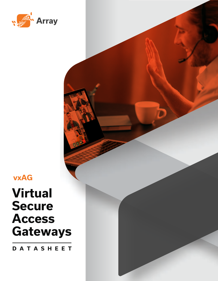

**vxAG**

# **Virtual Secure Access Gateways**

**DATASHEET**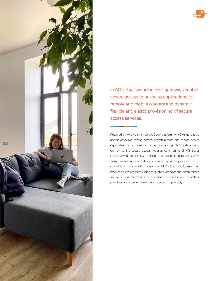

vxAG virtual secure access gateways enable secure access to business applications for remote and mobile workers and dynamic, flexible and elastic provisioning of secure access services.

Powered by Array's 64-bit SpeedCore® platform, vxAG virtual secure access gateways extend Array's proven remote and mobile access capabilities to virtualized data centers and public/private clouds. Combining the secure access features common to all AG Series products with the flexibility afforded by virtualized infrastructure, vxAG virtual secure access gateways enable dynamic pay-as-you-grow scalability and new elastic business models for both development and production environments. Able to support granular and differentiated secure access for diverse communities of interest and provide a premium user experience without compromising security.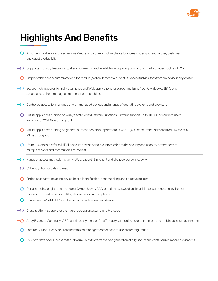

## Highlights And Benefits

- $\bigcirc$  Anytime, anywhere secure access via Web, standalone or mobile clients for increasing employee, partner, customer and guest productivity
- Supports industry-leading virtual environments, and available on popular public cloud marketplaces such as AWS
- Simple, scalable and secure remote desktop module (add-on) that enables use of PCs and virtual desktops from any device in any location
- $-\bigcirc$  Secure mobile access for individual native and Web applications for supporting Bring Your Own Device (BYOD) or secure access from managed smart phones and tablets
- $\bigcirc$  Controlled access for managed and un-managed devices and a range of operating systems and browsers
- $-\bigcirc$  Virtual appliances running on Array's AVX Series Network Functions Platform support up to 10,000 concurrent users and up to 3,200 Mbps throughput
- $\bigcirc$  Virtual appliances running on general-purpose servers support from 300 to 10,000 concurrent users and from 100 to 500 Mbps throughput
- $\bigcirc$  Up to 256 cross-platform, HTML5 secure access portals, customizable to the security and usability preferences of multiple tenants and communities of interest
- Range of access methods including Web, Layer-3, thin-client and client-server connectivity
- $\bigcirc$  SSL encryption for data in transit
- Endpoint security including device-based identification, host-checking and adaptive policies
- Per-user policy engine and a range of OAuth, SAML, AAA, one-time password and multi-factor authentication schemes for identity-based access to URLs, files, networks and application
- $\bigcirc$  Can serve as a SAML IdP for other security and networking devices
- $\bigcirc$  Cross-platform support for a range of operating systems and browsers
- Array Business Continuity (ABC) contingency licenses for affordably supporting surges in remote and mobile access requirements
- $\bigcirc$  Familiar CLI, intuitive WebUI and centralized management for ease of use and configuration
- $\bigcirc$  Low-cost developer's license to tap into Array APIs to create the next generation of fully secure and containerized mobile applications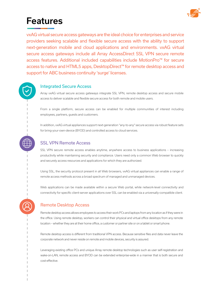

### Features

vxAG virtual secure access gateways are the ideal choice for enterprises and service providers seeking scalable and flexible secure access with the ability to support next-generation mobile and cloud applications and environments. vxAG virtual secure access gateways include all Array AccessDirect SSL VPN secure remote access features. Additional included capabilities include MotionPro™ for secure access to native and HTML5 apps, DesktopDirect™ for remote desktop access and support for ABC business continuity 'surge' licenses.

#### Integrated Secure Access

Array vxAG virtual secure access gateways integrate SSL VPN, remote desktop access and secure mobile access to deliver scalable and flexible secure access for both remote and mobile users.

From a single platform, secure access can be enabled for multiple communities of interest including employees, partners, guests and customers.

In addition, vxAG virtual appliances support next-generation "any-to-any" secure access via robust feature sets for bring-your-own-device (BYOD) and controlled access to cloud services.

#### SSL VPN Remote Access

SSL VPN secure remote access enables anytime, anywhere access to business applications – increasing productivity while maintaining security and compliance. Users need only a common Web browser to quickly and securely access resources and applications for which they are authorized.

Using SSL, the security protocol present in all Web browsers, vxAG virtual appliances can enable a range of remote access methods across a broad spectrum of managed and unmanaged devices.

Web applications can be made available within a secure Web portal, while network-level connectivity and connectivity for specific client-server applications over SSL can be enabled via a universally-compatible client.

#### Remote Desktop Access

Remote desktop access allows employees to access their work PCs and laptops from any location as if they were in the office. Using remote desktop, workers can control their physical and virtual office desktops from any remote location – whether they are at their home office, a customer or partner site or on a tablet or smart phone.

Remote desktop access is different from traditional VPN access. Because sensitive files and data never leave the corporate network and never reside on remote and mobile devices, security is assured.

Leveraging existing office PCs and unique Array remote desktop technologies such as user self-registration and wake-on-LAN, remote access and BYOD can be extended enterprise-wide in a manner that is both secure and cost-effective.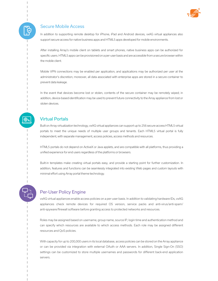

#### Secure Mobile Access

In addition to supporting remote desktop for iPhone, iPad and Android devices, vxAG virtual appliances also support secure access for native business apps and HTML5 apps developed for mobile environments.

After installing Array's mobile client on tablets and smart phones, native business apps can be authorized for specific users. HTML5 apps can be provisioned on a per-user basis and are accessible from a secure browser within the mobile client.

Mobile VPN connections may be enabled per application, and applications may be authorized per user at the administrator's discretion; moreover, all data associated with enterprise apps are stored in a secure container to prevent data leakage.

In the event that devices become lost or stolen, contents of the secure container may be remotely wiped; in addition, device-based identification may be used to prevent future connectivity to the Array appliance from lost or stolen devices.

#### Virtual Portals

Built on Array virtualization technology, vxAG virtual appliances can support up to 256 secure access HTML5 virtual portals to meet the unique needs of multiple user groups and tenants. Each HTML5 virtual portal is fully independent, with separate management, access policies, access methods and resources.

HTML5 portals do not depend on ActiveX or Java applets, and are compatible with all platforms, thus providing a unified experience for end users regardless of the platforms or browsers.

Built-in templates make creating virtual portals easy, and provide a starting point for further customization. In addition, features and functions can be seamlessly integrated into existing Web pages and custom layouts with minimal effort using Array portal theme technology.

#### Per-User Policy Engine

vxAG virtual appliances enable access policies on a per-user basis. In addition to validating hardware IDs, vxAG appliances check remote devices for required OS version, service packs and anti-virus/anti-spam/ anti-spyware/firewall software before granting access to protected networks and resources.

Roles may be assigned based on username, group name, source IP, login time and authentication method and can specify which resources are available to which access methods. Each role may be assigned different resources and QoS policies.

With capacity for up to 200,000 users in its local database, access policies can be stored on the Array appliance or can be provided via integration with external OAuth or AAA servers. In addition, Single Sign-On (SSO) settings can be customized to store multiple usernames and passwords for different back-end application servers.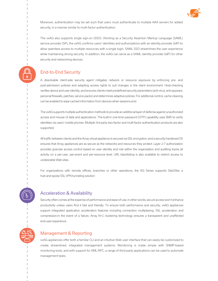

Moreover, authentication may be set such that users must authenticate to multiple AAA servers for added security, in a manner similar to multi-factor authentication.

The vxAG also supports single sign-on (SSO). Working as a Security Assertion Markup Language (SAML) service provider (SP), the vxAG confirms users' identities and authorizations with an identity provider (IdP) to allow seamless access to multiple resources with a single login. SAML SSO streamlines the user experience while maintaining strong security. In addition, the vxAG can serve as a SAML identity provider (IdP) for other security and networking devices.

#### End-to-End Security

A dissolvable client-side security agent mitigates network or resource exposure by enforcing pre- and post-admission policies and adapting access rights to suit changes in the client environment. Host-checking verifies device and user identity, and ensures clients meet predefined security parameters (anti-virus, anti-spyware, personal firewalls, patches, service packs) and determines adaptive policies. For additional control, cache cleaning can be enabled to wipe cached information from devices when sessions end.

The vxAG supports multiple authentication methods to provide an additional layer of defense against unauthorized access and misuse of data and applications. The built-in one-time password (OTP) capability uses SMS to verify identities via users' mobile phones. Multiple 3rd party two-factor and multi-factor authentication products are also supported.

All traffic between clients and the Array virtual appliance is secured via SSL encryption, and a security-hardened OS ensures that Array appliances are as secure as the networks and resources they protect. Layer 2-7 authorization provides granular access control based on user identity and role within the organization and auditing tracks all activity on a per-user, per-event and per-resource level. URL blacklisting is also available to restrict access to undesirable Web sites.

For organizations with remote offices, branches or other operations, the AG Series supports Site2Site, a hub-and-spoke SSL VPN tunneling solution

#### Acceleration & Availability

Security often comes at the expense of performance and ease-of-use; in other words, secure access won't enhance productivity unless users find it fast and friendly. To ensure both performance and security, vxAG appliances support integrated application acceleration features including connection multiplexing, SSL acceleration and compression.In the event of a failure, Array N+1 clustering technology ensures a transparent and unaffected end-user experience.

#### Management & Reporting

vxAG appliances offer both a familiar CLI and an intuitive Web user interface that can easily be customized to create streamlined, integrated management systems. Monitoring is made simple with SNMP-based monitoring tools, and with support for XML-RPC, a range of third-party applications can be used to automate management tasks.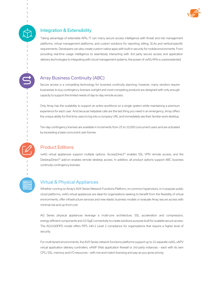



#### Integration & Extensibility

Taking advantage of extensible APIs, IT can marry secure access intelligence with threat and risk management platforms, virtual management platforms, and custom solutions for reporting, billing, SLAs and vertical-specific requirements. Developers can also create custom native apps with built-in security for mobile environments. From providing real-time usage intelligence to seamlessly interacting with 3rd party secure access and application delivery technologies to integrating with cloud management systems, the power of vxAG APIs is unprecedented.

#### Array Business Continuity (ABC)

Secure access is a compelling technology for business continuity planning; however, many vendors require businesses to buy contingency licenses outright and most competing products are designed with only enough capacity to support the limited needs of day-to-day remote access.

Only Array has the scalability to support an entire workforce on a single system while maintaining a premium experience for each user. And because helpdesk calls are the last thing you need in an emergency, Array offers the unique ability for first time users to log into a company URL and immediately see their familiar work desktop.

Ten-day contingency licenses are available in increments from 25 to 10,000 concurrent users and are activated by exceeding a base concurrent user license.

#### Product Editions

vxAG virtual appliances support multiple options: AccessDirect™ enables SSL VPN remote access, and the DesktopDirect™ add-on enables remote desktop access. In addition, all product options support ABC business continuity contingency licenses.

#### Virtual & Physical Appliances

Whether running on Array's AVX Series Network Functions Platform, on common hypervisors, or in popular public cloud platforms, vxAG virtual appliances are ideal for organizations seeking to benefit from the flexibility of virtual environments, offer infrastructure services and new elastic business models or evaluate Array secure access with minimal risk and up-front cost.

AG Series physical appliances leverage a multi-core architecture, SSL acceleration and compression, energy-efficient components and 10 GigE connectivity to create solutions purpose-built for scalable secure access. The AG1500FIPS model offers FIPS 140-2 Level 2 compliance for organizations that require a higher level of security.

For multi-tenant environments, the AVX Series network functions platforms support up to 32 separate vxAG, vAPV virtual application delivery controllers, vAWF Web application firewall or 3rd party instances – each with its own CPU, SSL, memory and I/O resources – with mix-and-match licensing and pay-as-you-grow pricing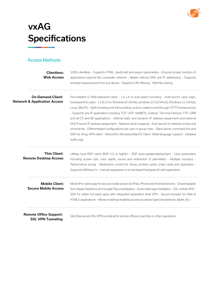

## vxAG **Specifications**

#### Access Methods

| <b>Clientless:</b><br><b>Web Access</b>                             | 100% clientless - Supports HTML, JavaScript and plug-in parameters - Ensures proper function of<br>applications beyond the corporate network - Masks internal DNS and IP addressing - Supports<br>browser-based access from any device - Supports URL filtering - Web file sharing                                                                                                                                                                                                                                                                                                                                                                                                                                                                                                                                                          |
|---------------------------------------------------------------------|---------------------------------------------------------------------------------------------------------------------------------------------------------------------------------------------------------------------------------------------------------------------------------------------------------------------------------------------------------------------------------------------------------------------------------------------------------------------------------------------------------------------------------------------------------------------------------------------------------------------------------------------------------------------------------------------------------------------------------------------------------------------------------------------------------------------------------------------|
| <b>On-Demand Client:</b><br><b>Network &amp; Application Access</b> | Pre-installed or Web-delivered client, - L3, L4 or auto-select tunneling - Auto-launch upon login,<br>transparent to users - L3 & L4 for Windows 8 (64 bit), windows 10 (32/64 bit), Windows 11 (64 bit),<br>Linux, MacOS - Split tunneling and full tunneling control, create tunnel through HTTP forward proxy<br>- Supports any IP application including TCP, UDP, NetBIOS, Outlook, Terminal Devices, FTP, CRM<br>and all CS and BS applications - Internal static and dynamic IP address assignment and external<br>DHCP server IP address assignment - Network drive mapping - Auto-launch of network scripts and<br>commands - Differentiated configurations per user or group roles - Stand-alone, command line and<br>SDK for Array VPN client - MotionPro Windows/MacOS Client -Multi-language support - Detailed<br>traffic logs |
| <b>Thin Client:</b><br><b>Remote Desktop Access</b>                 | Utilizes local RDP client (RDP 5.0 or higher) - RDP auto-update/deployment - User parameters<br>including screen size, color depth, sound and redirection (if permitted) - Multiple monitors -<br>Performance tuning - Redirection control for drives, printers, ports, smart cards and clipboards -<br>Supports VMView 6.x - manual registration or email-based Hardware ID self-registration                                                                                                                                                                                                                                                                                                                                                                                                                                              |
| <b>Mobile Client:</b><br><b>Secure Mobile Access</b>                | MotionPro native app for secure mobile access for iPad, iPhone and Android devices - Downloadable<br>from Apple AppStore and Google Play marketplace - Automated app installation - SSL mobile VPN -<br>SDK for native 3rd party apps with integrated application level VPN - Secure browser for Web &<br>HTML5 applications - Allows enabling/disabling access by device type (smartphone, tablet, etc.)                                                                                                                                                                                                                                                                                                                                                                                                                                   |
| <b>Remote Office Support:</b><br><b>SSL VPN Tunneling</b>           | Site2Site secure SSL VPN tunneling for remote offices, branches or other operations                                                                                                                                                                                                                                                                                                                                                                                                                                                                                                                                                                                                                                                                                                                                                         |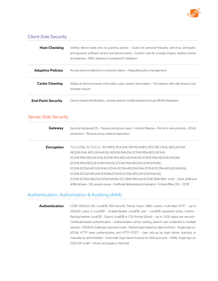

#### Client-Side Security

| <b>Host Checking</b>      | Verifies device state prior to granting access - Scans for personal firewalls, anti-virus, anti-spam,<br>anti-spyware, software version and service packs – Custom rules for a range of apps, registry checks<br>and patches – MAC address or hardware ID validation |
|---------------------------|----------------------------------------------------------------------------------------------------------------------------------------------------------------------------------------------------------------------------------------------------------------------|
| <b>Adaptive Policies</b>  | Access level conditional on end-point status – Integrated policy management                                                                                                                                                                                          |
| <b>Cache Cleaning</b>     | Wipes all stored browser information upon session termination - Per-session with idle timeout and<br>browser closure                                                                                                                                                 |
| <b>End-Point Security</b> | Device-based identification, remote wipe for mobile devices through MDM Integration.                                                                                                                                                                                 |

#### Server-Side Security

| Gateway           | Security-hardened OS - Passive and active Layer-7 content filtering - Permit or deny policies - DDoS<br>prevention - Reverse-proxy network separation |
|-------------------|-------------------------------------------------------------------------------------------------------------------------------------------------------|
| <b>Encryption</b> | TLS 1.0/SSL 3.0, TLS 1.2 - RC4-MD5, RC4-SHA, EXP-RC4-MD5, DES-CBC3-SHA, AES128-SHA,                                                                   |
|                   | AES256-SHA, AES128-SHA256, AES256-SHA256, ECDHE-RSA-AES128-SHA,                                                                                       |
|                   | ECDHE-RSA-AES256-SHA, ECDHE-RSA-AES128-SHA256, ECDHE-RSA-AES256-SHA384,                                                                               |
|                   | ECDHE-RSA-AES128-GCM-SHA256, ECDHE-RSA-AES256-GCM-SHA384,                                                                                             |
|                   | ECDHE-ECDSA-AES128-SHA, ECDHE-ECDSA-AES256-SHA, ECDHE-ECDSA-AES128-SHA256,                                                                            |
|                   | ECDHE-ECDSA-AES256-SHA384, ECDHE-ECDSA-AES128-GCM-SHA256,                                                                                             |
|                   | ECDHE-ECDSA-AES256-GCM-SHA384, ECC-SM4-SM3 and ECDHE-SM4-SM3-1024 - 1024, 2048 and                                                                    |
|                   | 4096-bit keys - SSL session reuse - Certificate field passing to backend - Online/offline CRL - OCSP                                                  |

#### Authentication, Authorization & Auditing (AAA)

**Authentication** LDAP, RADIUS, AD, LocalDB, RSA SecurID, Swivel, Vasco, SMX, custom, multi-step HTTP – up to 200,000 users in LocalDB – Enable/disable LocalDB user – LocalDB password policy control – Backup/restore LocalDB – Export LocalDB in CSV format (Excel) – Up to 1500 logins per second – Certificate-based authentication – Authentication server ranking (search user credential in multiple servers) – RADIUS challenge response mode – Restrict login based on date and time – Single sign-on, NTLM, HTTP basic authentication and HTTP POST – User lock-up by login failure, inactivity or manually by administrator – Automatic login failure lockout for AAA accounts – SAML single sign-on (SSO) SP or IdP – OAuth via Google or WeChat.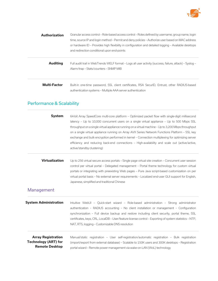

| <b>Authorization</b> | Granular access control - Role-based access control - Roles defined by username, group name, login<br>time, source IP and login method - Permit and deny policies - Authorize user based on MAC address<br>or hardware ID - Provides high flexibility in configuration and detailed logging - Available desktops<br>and redirection conditional upon end-points |
|----------------------|-----------------------------------------------------------------------------------------------------------------------------------------------------------------------------------------------------------------------------------------------------------------------------------------------------------------------------------------------------------------|
| <b>Auditing</b>      | Full audit trail in WebTrends WELF format - Logs all user activity (success, failure, attack) - Syslog -<br>Alarm/trap - Stats/counters - SNMP MIB                                                                                                                                                                                                              |
| <b>Multi-Factor</b>  | Built-in one-time password, SSL client certificates, RSA SecurID, Entrust, other RADIUS-based<br>authentication systems - Multiple AAA server authentication                                                                                                                                                                                                    |

### Performance & Scalability

| <b>System</b>                                                                     | 64-bit Array SpeedCore multi-core platform - Optimized packet flow with single-digit millisecond<br>latency - Up to 10,000 concurrent users on a single virtual appliance - Up to 500 Mbps SSL<br>throughput on a single virtual appliance running on a virtual machine - Up to 3,200 Mbps throughput<br>on a single virtual appliance running on Array AVX Series Network Functions Platform - SSL key<br>exchange and bulk encryption performed in kernel - Connection multiplexing for optimizing server<br>efficiency and reducing back-end connections - High-availability and scale out (active/active,<br>active/standby clustering) |
|-----------------------------------------------------------------------------------|---------------------------------------------------------------------------------------------------------------------------------------------------------------------------------------------------------------------------------------------------------------------------------------------------------------------------------------------------------------------------------------------------------------------------------------------------------------------------------------------------------------------------------------------------------------------------------------------------------------------------------------------|
| <b>Virtualization</b>                                                             | Up to 256 virtual secure access portals - Single page virtual site creation - Concurrent user session<br>control per virtual portal - Delegated management - Portal theme technology for custom virtual<br>portals or integrating with preexisting Web pages - Pure Java script-based customization on per<br>virtual portal basis - No external server requirements - Localized end-user GUI support for English,<br>Japanese, simplified and traditional Chinese                                                                                                                                                                          |
| <b>Management</b>                                                                 |                                                                                                                                                                                                                                                                                                                                                                                                                                                                                                                                                                                                                                             |
| <b>System Administration</b>                                                      | Intuitive WebUI - Quick-start wizard - Role-based administration - Strong administrator<br>authentication - RADIUS accounting - No client installation or management - Configuration<br>synchronization - Full device backup and restore including client security, portal theme, SSL<br>certificates, keys, CRL, LocalDB - User/feature license control - Exporting of system statistics - NTP,<br>NAT, RTS, logging - Customizable DNS resolution                                                                                                                                                                                         |
| <b>Array Registration</b><br><b>Technology (ART) for</b><br><b>Remote Desktop</b> | Manual/static registration - User self-registration/automatic registration - Bulk registration<br>(import/export from external database) - Scalable to 150K users and 300K desktops - Registration<br>portal wizard - Remote power management via wake-on-LAN (WoL) technology                                                                                                                                                                                                                                                                                                                                                              |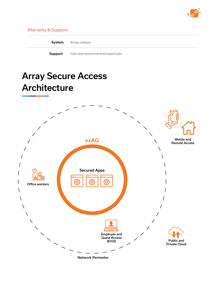

#### Warranty & Support

| System  | 90-day software                            |
|---------|--------------------------------------------|
| Support | Gold, silver and bronze-level support plan |

### Array Secure Access **Architecture**

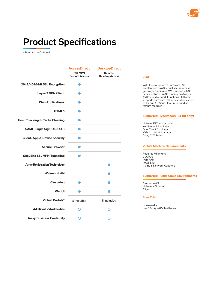

### Product Specifications

• Standard o Optional

|                                           | <b>AccessDirect</b>                    | <b>DesktopDirect</b>            |
|-------------------------------------------|----------------------------------------|---------------------------------|
|                                           | <b>SSL VPN</b><br><b>Remote Access</b> | Remote<br><b>Desktop Access</b> |
| 2048/4096-bit SSL Encryption              |                                        |                                 |
| <b>Layer-3 VPN Client</b>                 |                                        |                                 |
| <b>Web Applications</b>                   |                                        |                                 |
| <b>HTML5</b>                              |                                        |                                 |
| <b>Host Checking &amp; Cache Cleaning</b> |                                        |                                 |
| <b>SAML Single Sign-On (SSO)</b>          |                                        |                                 |
| <b>Client, App &amp; Device Security</b>  |                                        |                                 |
| <b>Secure Browser</b>                     |                                        |                                 |
| <b>Site2Site SSL VPN Tunneling</b>        |                                        |                                 |
| <b>Array Registration Technology</b>      |                                        |                                 |
| <b>Wake-on-LAN</b>                        |                                        |                                 |
| <b>Clustering</b>                         |                                        |                                 |
| WebUI                                     |                                        |                                 |
| <b>Virtual Portals*</b>                   | 5 included                             | 5 included                      |
| <b>Additional Virtual Portals</b>         | ∩                                      | ∩                               |
| <b>Array Business Continuity</b>          |                                        |                                 |

|         | With the exception of hardware SSL<br>acceleration, vxAG virtual secure access<br>gateways running on VMs support all AG<br>Series features. vxAG running on Array's<br><b>AVX Series Network Functions Platform</b><br>supports hardware SSL acceleration as well<br>as the full AG Series feature set and all<br>feature modules |
|---------|------------------------------------------------------------------------------------------------------------------------------------------------------------------------------------------------------------------------------------------------------------------------------------------------------------------------------------|
|         | <b>Supported Hypervisors (64-bit only)</b>                                                                                                                                                                                                                                                                                         |
|         | VMware ESXi 4.1 or Later<br>XenServer 5.6 or Later<br>OpenXen 4.0 or Later<br>KVM 1.1.1-1.8.1 or later<br><b>Array AVX Series</b>                                                                                                                                                                                                  |
|         | <b>Virtual Machine Requirements</b>                                                                                                                                                                                                                                                                                                |
| 2 vCPUs | Requires Minimum:<br>4GB RAM<br>40GB Disk<br>4 Virtual Network Adapters                                                                                                                                                                                                                                                            |
|         |                                                                                                                                                                                                                                                                                                                                    |
|         | <b>Supported Public Cloud Environments</b>                                                                                                                                                                                                                                                                                         |

#### **Free Trial**

Download a free 30-day vAPV trial today.